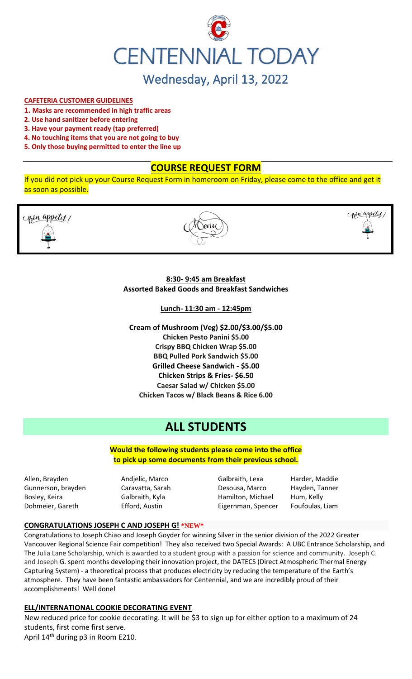

### **CAFETERIA CUSTOMER GUIDELINES**

- **1. Masks are recommended in high traffic areas**
- **2. Use hand sanitizer before entering**
- **3. Have your payment ready (tap preferred)**
- **4. No touching items that you are not going to buy**
- **5. Only those buying permitted to enter the line up**

## **COURSE REQUEST FORM**

If you did not pick up your Course Request Form in homeroom on Friday, please come to the office and get it as soon as possible.





copen appetit,

### **8:30- 9:45 am Breakfast Assorted Baked Goods and Breakfast Sandwiches**

**Lunch- 11:30 am - 12:45pm**

**Cream of Mushroom (Veg) \$2.00/\$3.00/\$5.00 Chicken Pesto Panini \$5.00 Crispy BBQ Chicken Wrap \$5.00 BBQ Pulled Pork Sandwich \$5.00 Grilled Cheese Sandwich - \$5.00 Chicken Strips & Fries- \$6.50 Caesar Salad w/ Chicken \$5.00 Chicken Tacos w/ Black Beans & Rice 6.00**

# **ALL STUDENTS**

**Would the following students please come into the office to pick up some documents from their previous school.**

Allen, Brayden Andjelic, Marco Galbraith, Lexa Harder, Maddie Gunnerson, brayden Caravatta, Sarah Desousa, Marco Hayden, Tanner Bosley, Keira **Galbraith, Kyla** Hamilton, Michael Hum, Kelly Dohmeier, Gareth **Efford, Austin** Eigernman, Spencer Foufoulas, Liam

#### **CONGRATULATIONS JOSEPH C AND JOSEPH G! \*NEW\***

Congratulations to Joseph Chiao and Joseph Goyder for winning Silver in the senior division of the 2022 Greater Vancouver Regional Science Fair competition! They also received two Special Awards: A UBC Entrance Scholarship, and The Julia Lane Scholarship, which is awarded to a student group with a passion for science and community. Joseph C. and Joseph G. spent months developing their innovation project, the DATECS (Direct Atmospheric Thermal Energy Capturing System) - a theoretical process that produces electricity by reducing the temperature of the Earth's atmosphere. They have been fantastic ambassadors for Centennial, and we are incredibly proud of their accomplishments! Well done!

#### **ELL/INTERNATIONAL COOKIE DECORATING EVENT**

New reduced price for cookie decorating. It will be \$3 to sign up for either option to a maximum of 24 students, first come first serve. April 14th during p3 in Room E210.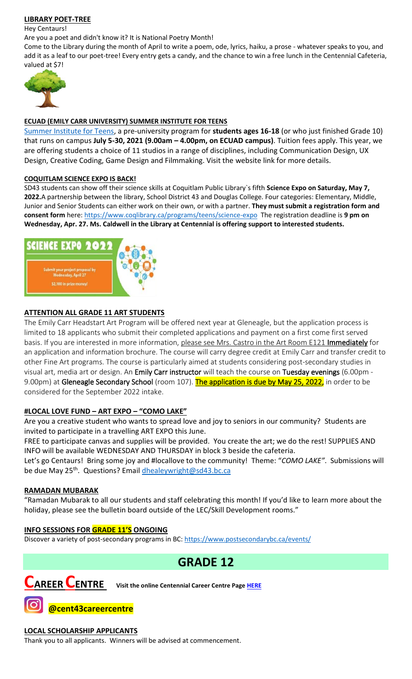## **LIBRARY POET-TREE**

Hey Centaurs!

Are you a poet and didn't know it? It is National Poetry Month!

Come to the Library during the month of April to write a poem, ode, lyrics, haiku, a prose - whatever speaks to you, and add it as a leaf to our poet-tree! Every entry gets a candy, and the chance to win a free lunch in the Centennial Cafeteria, valued at \$7!



## **ECUAD (EMILY CARR UNIVERSITY) SUMMER INSTITUTE FOR TEENS**

[Summer Institute for Teens,](https://www.ecuad.ca/academics/teen-programs/summer-institute-for-teens) a pre-university program for **students ages 16-18** (or who just finished Grade 10) that runs on campus **July 5-30, 2021 (9.00am – 4.00pm, on ECUAD campus)**. Tuition fees apply. This year, we are offering students a choice of 11 studios in a range of disciplines, including Communication Design, UX Design, Creative Coding, Game Design and Filmmaking. Visit the website link for more details.

#### **COQUITLAM SCIENCE EXPO IS BACK!**

SD43 students can show off their science skills at Coquitlam Public Library`s fifth **Science Expo on Saturday, May 7, 2022.**A partnership between the library, School District 43 and Douglas College. Four categories: Elementary, Middle, Junior and Senior Students can either work on their own, or with a partner. **They must submit a registration form and consent form** here:<https://www.coqlibrary.ca/programs/teens/science-expo> The registration deadline is **9 pm on Wednesday, Apr. 27. Ms. Caldwell in the Library at Centennial is offering support to interested students.**



## **ATTENTION ALL GRADE 11 ART STUDENTS**

The Emily Carr Headstart Art Program will be offered next year at Gleneagle, but the application process is limited to 18 applicants who submit their completed applications and payment on a first come first served basis. If you are interested in more information, please see Mrs. Castro in the Art Room E121 Immediately for an application and information brochure. The course will carry degree credit at Emily Carr and transfer credit to other Fine Art programs. The course is particularly aimed at students considering post-secondary studies in visual art, media art or design. An Emily Carr instructor will teach the course on Tuesday evenings (6.00pm -9.00pm) at Gleneagle Secondary School (room 107). The application is due by May 25, 2022, in order to be considered for the September 2022 intake.

## **#LOCAL LOVE FUND – ART EXPO – "COMO LAKE"**

Are you a creative student who wants to spread love and joy to seniors in our community? Students are invited to participate in a travelling ART EXPO this June.

FREE to participate canvas and supplies will be provided. You create the art; we do the rest! SUPPLIES AND INFO will be available WEDNESDAY AND THURSDAY in block 3 beside the cafeteria.

Let's go Centaurs! Bring some joy and #locallove to the community! Theme: "*COMO LAKE"*. Submissions will be due May 25<sup>th</sup>. Questions? Email **dhealeywright@sd43.bc.ca** 

## **RAMADAN MUBARAK**

"Ramadan Mubarak to all our students and staff celebrating this month! If you'd like to learn more about the holiday, please see the bulletin board outside of the LEC/Skill Development rooms."

## **INFO SESSIONS FOR GRADE 11'S ONGOING**

Discover a variety of post-secondary programs in BC:<https://www.postsecondarybc.ca/events/>

## **GRADE 12**



**CAREER CENTRE Visit the online Centennial Career Centre Page [HERE](https://www.sd43.bc.ca/school/centennial/ProgramsServices/CareerCentre/experiences/Pages/default.aspx#/=)**

**@cent43careercentre** 

## **LOCAL SCHOLARSHIP APPLICANTS**

Thank you to all applicants. Winners will be advised at commencement.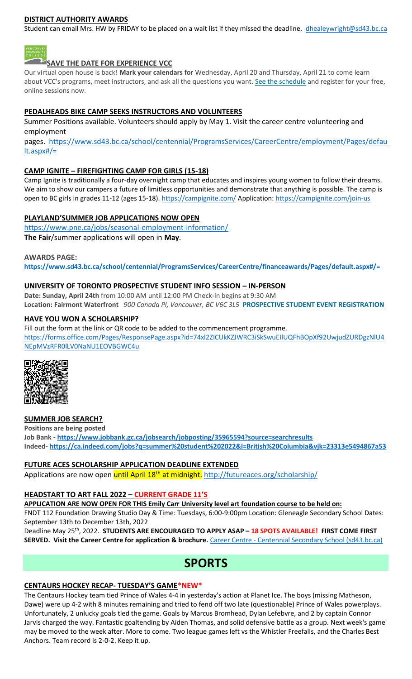### **DISTRICT AUTHORITY AWARDS**

Student can email Mrs. HW by FRIDAY to be placed on a wait list if they missed the deadline. [dhealeywright@sd43.bc.ca](mailto:dhealeywright@sd43.bc.ca)



**SAVE THE DATE FOR EXPERIENCE VCC**

Our virtual open house is back! **Mark your calendars for** Wednesday, April 20 and Thursday, April 21 to come learn about VCC's programs, meet instructors, and ask all the questions you want. [See the schedule](https://vcc.us2.list-manage.com/track/click?u=265d8acc7aa162eb26eb78d5e&id=8da9ab4282&e=d1966a5f66) and register for your free, online sessions now.

### **PEDALHEADS BIKE CAMP SEEKS INSTRUCTORS AND VOLUNTEERS**

Summer Positions available. Volunteers should apply by May 1. Visit the career centre volunteering and employment

pages. [https://www.sd43.bc.ca/school/centennial/ProgramsServices/CareerCentre/employment/Pages/defau](https://www.sd43.bc.ca/school/centennial/ProgramsServices/CareerCentre/employment/Pages/default.aspx#/=) [lt.aspx#/=](https://www.sd43.bc.ca/school/centennial/ProgramsServices/CareerCentre/employment/Pages/default.aspx#/=)

### **CAMP IGNITE – FIREFIGHTING CAMP FOR GIRLS (15-18)**

Camp Ignite is traditionally a four-day overnight camp that educates and inspires young women to follow their dreams. We aim to show our campers a future of limitless opportunities and demonstrate that anything is possible. The camp is open to BC girls in grades 11-12 (ages 15-18).<https://campignite.com/> Application:<https://campignite.com/join-us>

### **PLAYLAND'SUMMER JOB APPLICATIONS NOW OPEN**

<https://www.pne.ca/jobs/seasonal-employment-information/> **The Fair**/summer applications will open in **May**.

#### **AWARDS PAGE:**

**<https://www.sd43.bc.ca/school/centennial/ProgramsServices/CareerCentre/financeawards/Pages/default.aspx#/=>**

### **UNIVERSITY OF TORONTO PROSPECTIVE STUDENT INFO SESSION – IN-PERSON**

**Date: Sunday, April 24th** from 10:00 AM until 12:00 PM Check-in begins at 9:30 AM **Location: Fairmont Waterfront** *900 Canada Pl, Vancouver, BC V6C 3L5* **[PROSPECTIVE STUDENT EVENT REGISTRATION](https://mx.technolutions.net/ss/c/VpDhrCrvzjOrNk6AZ3TbHjFLbqWBZPhhofjteQ2YNx82CaUosH1dcVhwZYliQGg4fqoAmVG1Ka_8jV1ZqG7kHkEUUWMfwc8VPjIe6VXHcqaY02ME2QCvDFADSudDQ-wU/3kx/RvkltXeQS-KcXTsaf7PNeQ/h1/qokCettkLEwcVkww2NiO3af-alqvB1eOXLnFAgxLQVQ)**

#### **HAVE YOU WON A SCHOLARSHIP?**

Fill out the form at the link or QR code to be added to the commencement programme. [https://forms.office.com/Pages/ResponsePage.aspx?id=74xl2ZICUkKZJWRC3iSkSwuEIlUQFhBOpXf92UwjudZURDgzNlU4](https://forms.office.com/Pages/ResponsePage.aspx?id=74xl2ZICUkKZJWRC3iSkSwuEIlUQFhBOpXf92UwjudZURDgzNlU4NEpMVzRFR0lLV0NaNU1EOVBGWC4u) [NEpMVzRFR0lLV0NaNU1EOVBGWC4u](https://forms.office.com/Pages/ResponsePage.aspx?id=74xl2ZICUkKZJWRC3iSkSwuEIlUQFhBOpXf92UwjudZURDgzNlU4NEpMVzRFR0lLV0NaNU1EOVBGWC4u)



#### **SUMMER JOB SEARCH?**

**Positions are being posted Job Bank - <https://www.jobbank.gc.ca/jobsearch/jobposting/35965594?source=searchresults> Indeed- <https://ca.indeed.com/jobs?q=summer%20student%202022&l=British%20Columbia&vjk=23313e5494867a53>**

#### **FUTURE ACES SCHOLARSHIP APPLICATION DEADLINE EXTENDED**

Applications are now open until April 18<sup>th</sup> at midnight. <http://futureaces.org/scholarship/>

#### **HEADSTART TO ART FALL 2022 – CURRENT GRADE 11'S**

**APPLICATION ARE NOW OPEN FOR THIS Emily Carr University level art foundation course to be held on:**

FNDT 112 Foundation Drawing Studio Day & Time: Tuesdays, 6:00-9:00pm Location: Gleneagle Secondary School Dates: September 13th to December 13th, 2022

Deadline May 25th, 2022. **STUDENTS ARE ENCOURAGED TO APPLY ASAP – 18 SPOTS AVAILABLE! FIRST COME FIRST SERVED. Visit the Career Centre for application & brochure.** Career Centre - [Centennial Secondary School \(sd43.bc.ca\)](https://www.sd43.bc.ca/school/centennial/ProgramsServices/CareerCentre/postsecondary/Pages/default.aspx#/=)

## **SPORTS**

#### **CENTAURS HOCKEY RECAP- TUESDAY'S GAME\*NEW\***

The Centaurs Hockey team tied Prince of Wales 4-4 in yesterday's action at Planet Ice. The boys (missing Matheson, Dawe) were up 4-2 with 8 minutes remaining and tried to fend off two late (questionable) Prince of Wales powerplays. Unfortunately, 2 unlucky goals tied the game. Goals by Marcus Bromhead, Dylan Lefebvre, and 2 by captain Connor Jarvis charged the way. Fantastic goaltending by Aiden Thomas, and solid defensive battle as a group. Next week's game may be moved to the week after. More to come. Two league games left vs the Whistler Freefalls, and the Charles Best Anchors. Team record is 2-0-2. Keep it up.